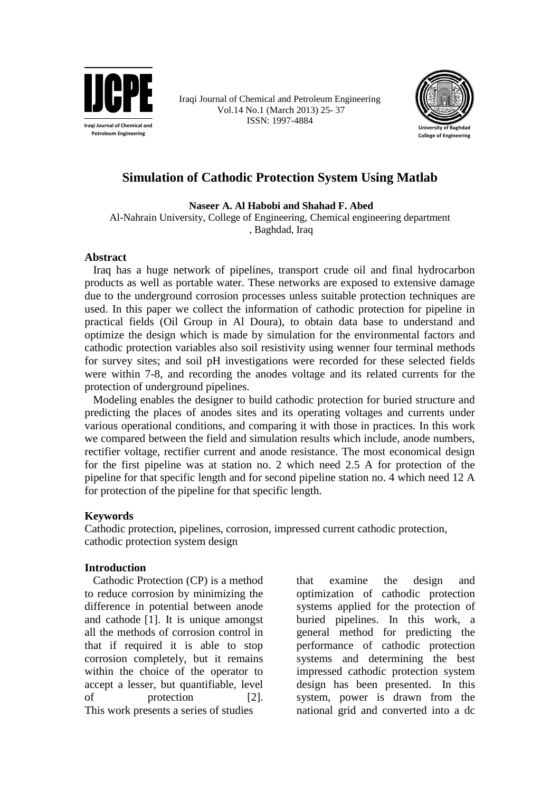

Iraqi Journal of Chemical and Petroleum Engineering Vol.14 No.1 (March 2013) 25- 37 ISSN: 1997-4884



# **Simulation of Cathodic Protection System Using Matlab**

**Naseer A. Al Habobi and Shahad F. Abed**

Al-Nahrain University, College of Engineering, Chemical engineering department , Baghdad, Iraq

#### **Abstract**

 Iraq has a huge network of pipelines, transport crude oil and final hydrocarbon products as well as portable water. These networks are exposed to extensive damage due to the underground corrosion processes unless suitable protection techniques are used. In this paper we collect the information of cathodic protection for pipeline in practical fields (Oil Group in Al Doura), to obtain data base to understand and optimize the design which is made by simulation for the environmental factors and cathodic protection variables also soil resistivity using wenner four terminal methods for survey sites; and soil pH investigations were recorded for these selected fields were within 7-8, and recording the anodes voltage and its related currents for the protection of underground pipelines.

 Modeling enables the designer to build cathodic protection for buried structure and predicting the places of anodes sites and its operating voltages and currents under various operational conditions, and comparing it with those in practices. In this work we compared between the field and simulation results which include, anode numbers, rectifier voltage, rectifier current and anode resistance. The most economical design for the first pipeline was at station no. 2 which need 2.5 A for protection of the pipeline for that specific length and for second pipeline station no. 4 which need 12 A for protection of the pipeline for that specific length.

#### **Keywords**

Cathodic protection, pipelines, corrosion, impressed current cathodic protection, cathodic protection system design

### **Introduction**

 Cathodic Protection (CP) is a method to reduce corrosion by minimizing the difference in potential between anode and cathode [1]. It is unique amongst all the methods of corrosion control in that if required it is able to stop corrosion completely, but it remains within the choice of the operator to accept a lesser, but quantifiable, level of protection [2]. This work presents a series of studies

that examine the design and optimization of cathodic protection systems applied for the protection of buried pipelines. In this work, a general method for predicting the performance of cathodic protection systems and determining the best impressed cathodic protection system design has been presented. In this system, power is drawn from the national grid and converted into a dc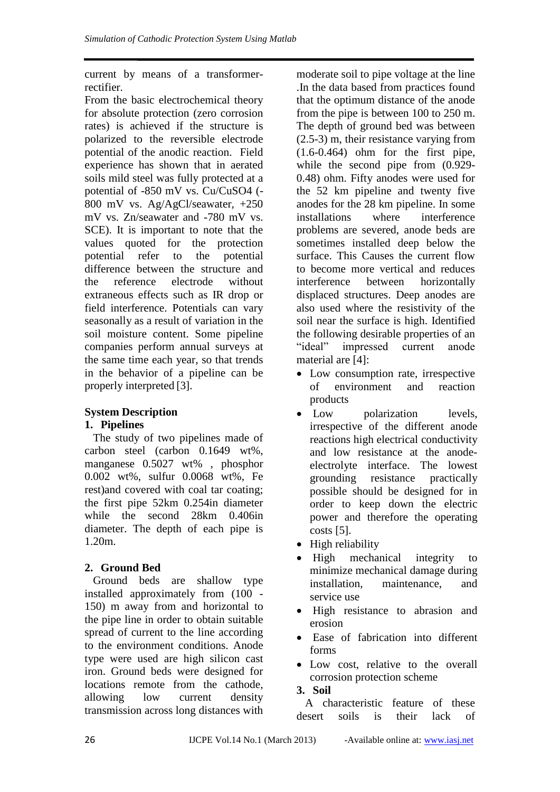current by means of a transformerrectifier.

From the basic electrochemical theory for absolute protection (zero corrosion rates) is achieved if the structure is polarized to the reversible electrode potential of the anodic reaction. Field experience has shown that in aerated soils mild steel was fully protected at a potential of -850 mV vs. Cu/CuSO4 (- 800 mV vs. Ag/AgCl/seawater, +250 mV vs. Zn/seawater and -780 mV vs. SCE). It is important to note that the values quoted for the protection potential refer to the potential difference between the structure and the reference electrode without extraneous effects such as IR drop or field interference. Potentials can vary seasonally as a result of variation in the soil moisture content. Some pipeline companies perform annual surveys at the same time each year, so that trends in the behavior of a pipeline can be properly interpreted [3].

# **System Description**

## **1. Pipelines**

 The study of two pipelines made of carbon steel (carbon 0.1649 wt%, manganese 0.5027 wt% , phosphor 0.002 wt%, sulfur 0.0068 wt%, Fe rest)and covered with coal tar coating; the first pipe 52km 0.254in diameter while the second 28km 0.406in diameter. The depth of each pipe is 1.20m.

## **2. Ground Bed**

 Ground beds are shallow type installed approximately from (100 - 150) m away from and horizontal to the pipe line in order to obtain suitable spread of current to the line according to the environment conditions. Anode type were used are high silicon cast iron. Ground beds were designed for locations remote from the cathode, allowing low current density transmission across long distances with

moderate soil to pipe voltage at the line .In the data based from practices found that the optimum distance of the anode from the pipe is between 100 to 250 m. The depth of ground bed was between (2.5-3) m, their resistance varying from (1.6-0.464) ohm for the first pipe, while the second pipe from (0.929- 0.48) ohm. Fifty anodes were used for the 52 km pipeline and twenty five anodes for the 28 km pipeline. In some installations where interference problems are severed, anode beds are sometimes installed deep below the surface. This Causes the current flow to become more vertical and reduces interference between horizontally displaced structures. Deep anodes are also used where the resistivity of the soil near the surface is high. Identified the following desirable properties of an "ideal" impressed current anode material are [4]:

- Low consumption rate, irrespective of environment and reaction products
- Low polarization levels. irrespective of the different anode reactions high electrical conductivity and low resistance at the anodeelectrolyte interface. The lowest grounding resistance practically possible should be designed for in order to keep down the electric power and therefore the operating costs [5].
- High reliability
- High mechanical integrity to minimize mechanical damage during installation, maintenance, and service use
- High resistance to abrasion and erosion
- Ease of fabrication into different forms
- Low cost, relative to the overall corrosion protection scheme

## **3. Soil**

 A characteristic feature of these desert soils is their lack of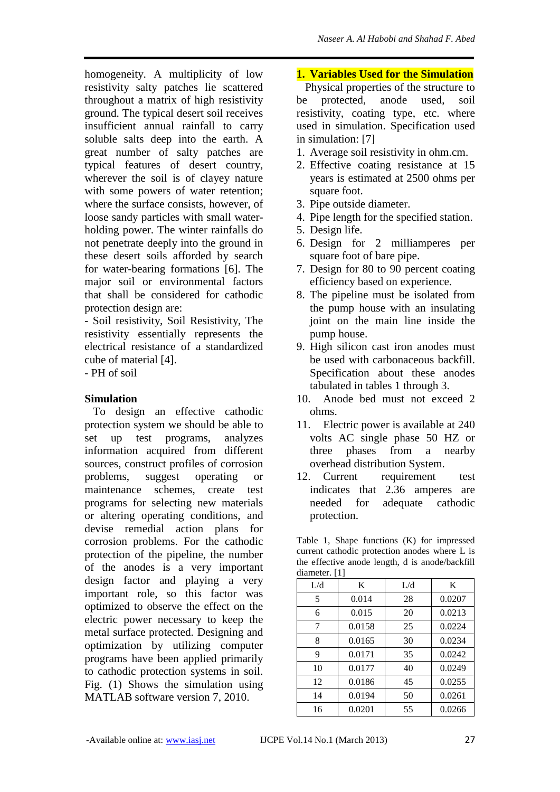homogeneity. A multiplicity of low resistivity salty patches lie scattered throughout a matrix of high resistivity ground. The typical desert soil receives insufficient annual rainfall to carry soluble salts deep into the earth. A great number of salty patches are typical features of desert country, wherever the soil is of clayey nature with some powers of water retention; where the surface consists, however, of loose sandy particles with small waterholding power. The winter rainfalls do not penetrate deeply into the ground in these desert soils afforded by search for water-bearing formations [6]. The major soil or environmental factors that shall be considered for cathodic protection design are:

- Soil resistivity, Soil Resistivity, The resistivity essentially represents the electrical resistance of a standardized cube of material [4].

- PH of soil

### **Simulation**

 To design an effective cathodic protection system we should be able to set up test programs, analyzes information acquired from different sources, construct profiles of corrosion problems, suggest operating or maintenance schemes, create test programs for selecting new materials or altering operating conditions, and devise remedial action plans for corrosion problems. For the cathodic protection of the pipeline, the number of the anodes is a very important design factor and playing a very important role, so this factor was optimized to observe the effect on the electric power necessary to keep the metal surface protected. Designing and optimization by utilizing computer programs have been applied primarily to cathodic protection systems in soil. Fig. (1) Shows the simulation using MATLAB software version 7, 2010.

## **1. Variables Used for the Simulation**

 Physical properties of the structure to be protected, anode used, soil resistivity, coating type, etc. where used in simulation. Specification used in simulation: [7]

- 1. Average soil resistivity in ohm.cm.
- 2. Effective coating resistance at 15 years is estimated at 2500 ohms per square foot.
- 3. Pipe outside diameter.
- 4. Pipe length for the specified station.
- 5. Design life.
- 6. Design for 2 milliamperes per square foot of bare pipe.
- 7. Design for 80 to 90 percent coating efficiency based on experience.
- 8. The pipeline must be isolated from the pump house with an insulating joint on the main line inside the pump house.
- 9. High silicon cast iron anodes must be used with carbonaceous backfill. Specification about these anodes tabulated in tables 1 through 3.
- 10. Anode bed must not exceed 2 ohms.
- 11. Electric power is available at 240 volts AC single phase 50 HZ or three phases from a nearby overhead distribution System.
- 12. Current requirement test indicates that 2.36 amperes are needed for adequate cathodic protection.

Table 1, Shape functions (K) for impressed current cathodic protection anodes where L is the effective anode length, d is anode/backfill diameter. [1]

| L/d | K      | L/d | K      |
|-----|--------|-----|--------|
| 5   | 0.014  | 28  | 0.0207 |
| 6   | 0.015  | 20  | 0.0213 |
| 7   | 0.0158 | 25  | 0.0224 |
| 8   | 0.0165 | 30  | 0.0234 |
| 9   | 0.0171 | 35  | 0.0242 |
| 10  | 0.0177 | 40  | 0.0249 |
| 12  | 0.0186 | 45  | 0.0255 |
| 14  | 0.0194 | 50  | 0.0261 |
| 16  | 0.0201 | 55  | 0.0266 |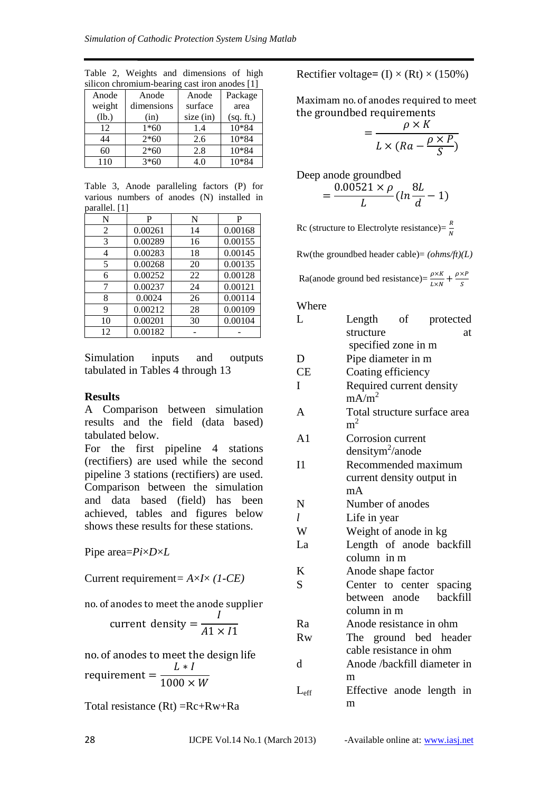| silicon chromium-bearing cast iron anodes [1] |            |             |           |  |  |
|-----------------------------------------------|------------|-------------|-----------|--|--|
| Anode                                         | Anode      | Anode       | Package   |  |  |
| weight                                        | dimensions | surface     | area      |  |  |
| (lb.)                                         | (in)       | size $(in)$ | (sq. ft.) |  |  |
| 12                                            | $1*60$     | 1.4         | 10*84     |  |  |
| 44                                            | $2*60$     | 2.6         | 10*84     |  |  |
| 60                                            | $2*60$     | 2.8         | 10*84     |  |  |
| 110                                           | $3*60$     | 4.0         | 10*84     |  |  |

Table 2, Weights and dimensions of high

Table 3, Anode paralleling factors (P) for various numbers of anodes (N) installed in parallel. [1]

|                | -       |    |         |
|----------------|---------|----|---------|
| N              | P       | N  | P       |
| $\overline{2}$ | 0.00261 | 14 | 0.00168 |
| 3              | 0.00289 | 16 | 0.00155 |
| 4              | 0.00283 | 18 | 0.00145 |
| 5              | 0.00268 | 20 | 0.00135 |
| 6              | 0.00252 | 22 | 0.00128 |
| 7              | 0.00237 | 24 | 0.00121 |
| 8              | 0.0024  | 26 | 0.00114 |
| 9              | 0.00212 | 28 | 0.00109 |
| 10             | 0.00201 | 30 | 0.00104 |
| 12             | 0.00182 |    |         |

Simulation inputs and outputs tabulated in Tables 4 through 13

#### **Results**

A Comparison between simulation results and the field (data based) tabulated below.

For the first pipeline 4 stations (rectifiers) are used while the second pipeline 3 stations (rectifiers) are used. Comparison between the simulation and data based (field) has been achieved, tables and figures below shows these results for these stations.

Pipe area=*Pi*×*D*×*L*

Current requirement*= A*×*I*× *(1-CE)*

n

$$
current density = \frac{I}{A1 \times I1}
$$

no. of anodes to meet the design life r L  $\mathbf{1}$ 

Total resistance (Rt) =Rc+Rw+Ra

Rectifier voltage=  $(I) \times (Rt) \times (150\%)$ 

Maximam no. of anodes required to meet the groundbed requirements

$$
= \frac{\rho \times K}{L \times (Ra - \frac{\rho \times P}{S})}
$$

Deep anode grounded  
= 
$$
\frac{0.00521 \times \rho}{L} (ln \frac{8L}{d})
$$

Rc (structure to Electrolyte resistance)= $\frac{R}{N}$ 

Rw(the groundbed header cable)= *(ohms/ft)(L)*

Ra(anode ground bed resistance)= $\frac{\rho \times K}{L \times N} + \frac{\rho}{L}$ S

Where

| L              | Length<br>of                                   | protected |
|----------------|------------------------------------------------|-----------|
|                | structure                                      | at        |
|                | specified zone in m                            |           |
| D              | Pipe diameter in m                             |           |
| <b>CE</b>      | Coating efficiency                             |           |
| I              | Required current density                       |           |
|                | mA/m <sup>2</sup>                              |           |
| A              | Total structure surface area<br>m <sup>2</sup> |           |
| A <sub>1</sub> | Corrosion current                              |           |
|                | $densitym^2/anode$                             |           |
| I <sub>1</sub> | Recommended maximum                            |           |
|                | current density output in                      |           |
|                | mA                                             |           |
| N              | Number of anodes                               |           |
| $l_{\rm}$      | Life in year                                   |           |
| W              | Weight of anode in kg                          |           |
| La             | Length of anode backfill                       |           |
|                | column in m                                    |           |
| K              | Anode shape factor                             |           |
| S              | Center to center spacing                       |           |
|                | between anode                                  | backfill  |
|                | column in m                                    |           |
| Ra             | Anode resistance in ohm                        |           |
| Rw             | The ground bed header                          |           |
|                | cable resistance in ohm                        |           |
| d              | Anode /backfill diameter in                    |           |
|                | m                                              |           |
| $L_{\rm eff}$  | Effective anode length in                      |           |
|                | m                                              |           |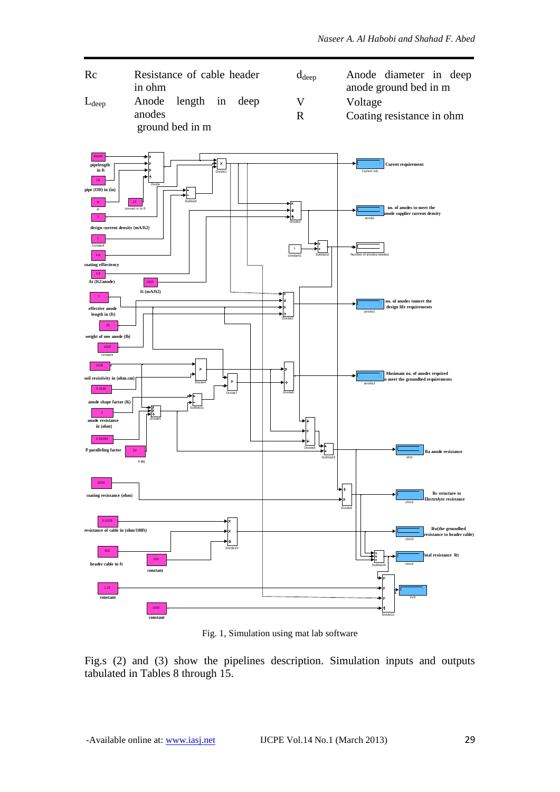



Fig. 1, Simulation using mat lab software

Fig.s (2) and (3) show the pipelines description. Simulation inputs and outputs tabulated in Tables 8 through 15.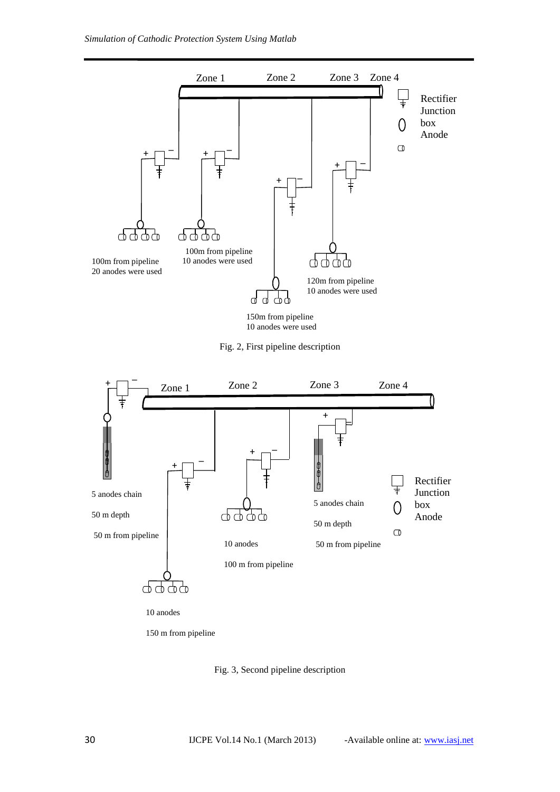

10 anodes were used

Fig. 2, First pipeline description



150 m from pipeline

Fig. 3, Second pipeline description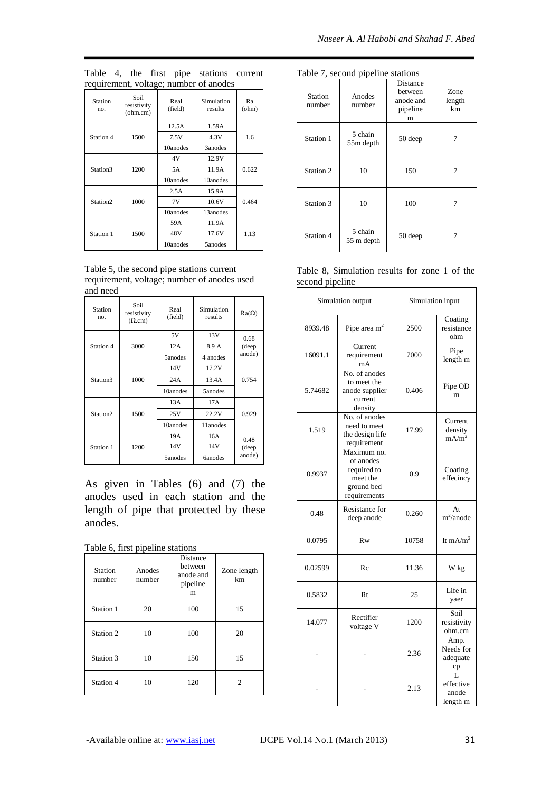|  |  | Table 4, the first pipe stations current |  |
|--|--|------------------------------------------|--|
|  |  | requirement, voltage; number of anodes   |  |

|                      |                                 | $\sim$ $\sim$   |                       |             |  |
|----------------------|---------------------------------|-----------------|-----------------------|-------------|--|
| Station<br>no.       | Soil<br>resistivity<br>(ohm.cm) | Real<br>(field) | Simulation<br>results | Ra<br>(ohm) |  |
|                      |                                 | 12.5A           | 1.59A                 |             |  |
| Station 4            | 1500                            | 7.5V            | 4.3V                  | 1.6         |  |
|                      |                                 | 10anodes        | 3anodes               |             |  |
|                      |                                 | 4V              | 12.9V                 |             |  |
| Station3             | 1200                            | 5A              | 11.9A                 | 0.622       |  |
|                      |                                 | 10anodes        | 10anodes              |             |  |
|                      |                                 | 2.5A            | 15.9A                 |             |  |
| Station <sub>2</sub> | 1000                            | 7V              | 10.6V                 | 0.464       |  |
|                      |                                 | 10anodes        | 13anodes              |             |  |
|                      |                                 | 59A             | 11.9A                 |             |  |
| Station 1            | 1500                            | 48V             | 17.6V                 | 1.13        |  |
|                      |                                 | 10anodes        | 5anodes               |             |  |

Table 5, the second pipe stations current requirement, voltage; number of anodes used and need

| Station<br>no.       | Soi1<br>resistivity<br>$(\Omega$ .cm) | Real<br>(field) | Simulation<br>results | $Ra(\Omega)$ |  |
|----------------------|---------------------------------------|-----------------|-----------------------|--------------|--|
|                      |                                       | 5V              | 13V                   | 0.68         |  |
| Station 4            | 3000                                  | 12A             | 8.9 A                 | (deep        |  |
|                      |                                       | 5anodes         | 4 anodes              | anode)       |  |
|                      |                                       | 14V             | 17.2V                 |              |  |
| Station3             | 1000                                  | 24A             | 13.4A                 | 0.754        |  |
|                      |                                       | 10anodes        | 5anodes               |              |  |
|                      |                                       | 13A             | 17A                   |              |  |
| Station <sub>2</sub> | 1500                                  | 25V             | 22.2V                 | 0.929        |  |
|                      |                                       | 10anodes        | 11anodes              |              |  |
|                      |                                       | 19A             | 16A                   | 0.48         |  |
| Station 1            | 1200                                  | 14V             | 14V                   | (deep        |  |
|                      |                                       | 5anodes         | <b>6anodes</b>        | anode)       |  |

As given in Tables (6) and (7) the anodes used in each station and the length of pipe that protected by these anodes.

| Station<br>number | Anodes<br>number | Distance<br>hetween<br>anode and<br>pipeline<br>m | Zone length<br>km |
|-------------------|------------------|---------------------------------------------------|-------------------|
| Station 1         | 20               | 100                                               | 15                |
| Station 2         | 10               | 100                                               | 20                |
| Station 3         | 10               | 150                                               | 15                |
| Station 4         | 10               | 120                                               | 2                 |

| Table 7, second pipeline stations |                       |                                                   |                      |  |  |
|-----------------------------------|-----------------------|---------------------------------------------------|----------------------|--|--|
| Station<br>number                 | Anodes<br>number      | Distance<br>hetween<br>anode and<br>pipeline<br>m | Zone<br>length<br>km |  |  |
| Station 1                         | 5 chain<br>55m depth  | 50 deep                                           |                      |  |  |
| Station 2                         | 10                    | 150                                               |                      |  |  |
| Station 3                         | 10                    | 100                                               |                      |  |  |
| Station 4                         | 5 chain<br>55 m depth | 50 deep                                           |                      |  |  |

| Table 8, Simulation results for zone 1 of the |  |  |  |
|-----------------------------------------------|--|--|--|
| second pipeline                               |  |  |  |

| Simulation output |                                                                                   | Simulation input |                                         |
|-------------------|-----------------------------------------------------------------------------------|------------------|-----------------------------------------|
| 8939.48           | Pipe area $m2$                                                                    | 2500             | Coating<br>resistance<br>ohm            |
| 16091.1           | Current<br>requirement<br>mA                                                      | 7000             | Pipe<br>length m                        |
| 5.74682           | No. of anodes<br>to meet the<br>anode supplier<br>current<br>density              | 0.406            | Pipe OD<br>m                            |
| 1.519             | No. of anodes<br>need to meet<br>17.99<br>the design life<br>requirement          |                  | Current<br>density<br>mA/m <sup>2</sup> |
| 0.9937            | Maximum no.<br>of anodes<br>required to<br>meet the<br>ground bed<br>requirements | 0.9              | Coating<br>effecincy                    |
| 0.48              | <b>Resistance for</b><br>deep anode                                               | 0.260            | At<br>$m^2$ /anode                      |
| 0.0795            | <b>Rw</b>                                                                         | 10758            | It mA/m <sup>2</sup>                    |
| 0.02599           | Re                                                                                | 11.36            | W kg                                    |
| 0.5832            | Rt                                                                                | 25               | Life in<br>yaer                         |
| 14.077            | Rectifier<br>voltage V                                                            | 1200             | Soil<br>resistivity<br>ohm.cm           |
|                   |                                                                                   | 2.36             | Amp.<br>Needs for<br>adequate<br>ср     |
|                   |                                                                                   | 2.13             | L.<br>effective<br>anode<br>length m    |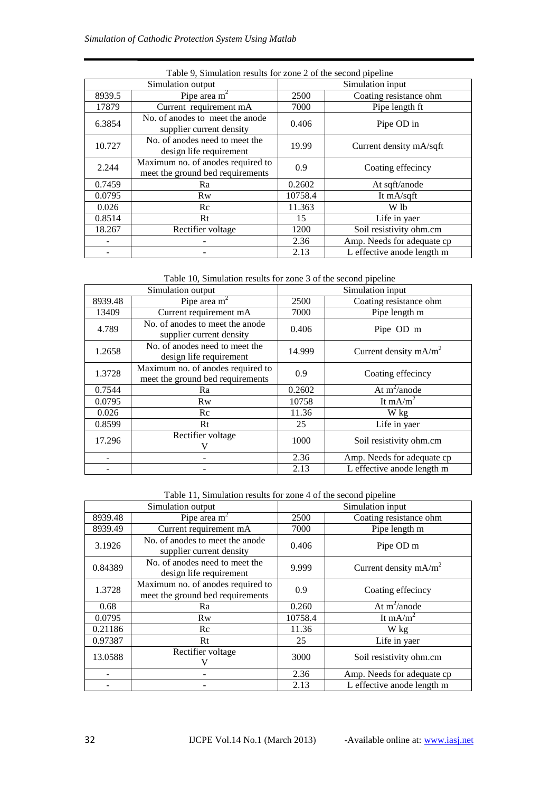| Table 9, Simulation results for zone 2 of the second pipeline |                                                                       |                  |                            |
|---------------------------------------------------------------|-----------------------------------------------------------------------|------------------|----------------------------|
| Simulation output                                             |                                                                       | Simulation input |                            |
| 8939.5                                                        | Pipe area $m2$                                                        | 2500             | Coating resistance ohm     |
| 17879                                                         | Current requirement mA                                                | 7000             | Pipe length ft             |
| 6.3854                                                        | No. of anodes to meet the anode<br>supplier current density           | 0.406            | Pipe OD in                 |
| 10.727                                                        | No. of anodes need to meet the<br>design life requirement             | 19.99            | Current density mA/sqft    |
| 2.244                                                         | Maximum no. of anodes required to<br>meet the ground bed requirements | 0.9              | Coating effecincy          |
| 0.7459                                                        | Ra                                                                    | 0.2602           | At sqft/anode              |
| 0.0795                                                        | <b>Rw</b>                                                             | 10758.4          | It mA/sqft                 |
| 0.026                                                         | Re                                                                    | 11.363           | W lb                       |
| 0.8514                                                        | Rt                                                                    | 15               | Life in yaer               |
| 18.267                                                        | Rectifier voltage                                                     | 1200             | Soil resistivity ohm.cm    |
|                                                               |                                                                       | 2.36             | Amp. Needs for adequate cp |
|                                                               |                                                                       | 2.13             | L effective anode length m |

Table 10, Simulation results for zone 3 of the second pipeline

| Simulation output |                                                                       | Simulation input |                            |
|-------------------|-----------------------------------------------------------------------|------------------|----------------------------|
| 8939.48           | Pipe area $m2$                                                        | 2500             | Coating resistance ohm     |
| 13409             | Current requirement mA                                                | 7000             | Pipe length m              |
| 4.789             | No. of anodes to meet the anode<br>supplier current density           | 0.406            | Pipe OD m                  |
| 1.2658            | No. of anodes need to meet the<br>design life requirement             | 14.999           | Current density $mA/m2$    |
| 1.3728            | Maximum no. of anodes required to<br>meet the ground bed requirements | 0.9              | Coating effecincy          |
| 0.7544            | Ra                                                                    | 0.2602           | At $m^2$ /anode            |
| 0.0795            | Rw                                                                    | 10758            | It mA/m <sup>2</sup>       |
| 0.026             | Rc                                                                    | 11.36            | W kg                       |
| 0.8599            | Rt                                                                    | 25               | Life in yaer               |
| 17.296            | Rectifier voltage                                                     | 1000             | Soil resistivity ohm.cm    |
|                   |                                                                       | 2.36             | Amp. Needs for adequate cp |
|                   |                                                                       | 2.13             | L effective anode length m |

Table 11, Simulation results for zone 4 of the second pipeline

| Simulation output |                                                                       | Simulation input |                            |
|-------------------|-----------------------------------------------------------------------|------------------|----------------------------|
| 8939.48           | Pipe area $m2$                                                        | 2500             | Coating resistance ohm     |
| 8939.49           | Current requirement mA                                                | 7000             | Pipe length m              |
| 3.1926            | No. of anodes to meet the anode<br>supplier current density           | 0.406            | Pipe OD m                  |
| 0.84389           | No. of anodes need to meet the<br>design life requirement             | 9.999            | Current density $mA/m2$    |
| 1.3728            | Maximum no. of anodes required to<br>meet the ground bed requirements | 0.9              | Coating effecincy          |
| 0.68              | Ra                                                                    | 0.260            | At $m^2$ /anode            |
| 0.0795            | <b>Rw</b>                                                             | 10758.4          | It mA/m <sup>2</sup>       |
| 0.21186           | Rc                                                                    | 11.36            | W kg                       |
| 0.97387           | Rt                                                                    | 25               | Life in yaer               |
| 13.0588           | Rectifier voltage                                                     | 3000             | Soil resistivity ohm.cm    |
|                   |                                                                       | 2.36             | Amp. Needs for adequate cp |
|                   |                                                                       | 2.13             | L effective anode length m |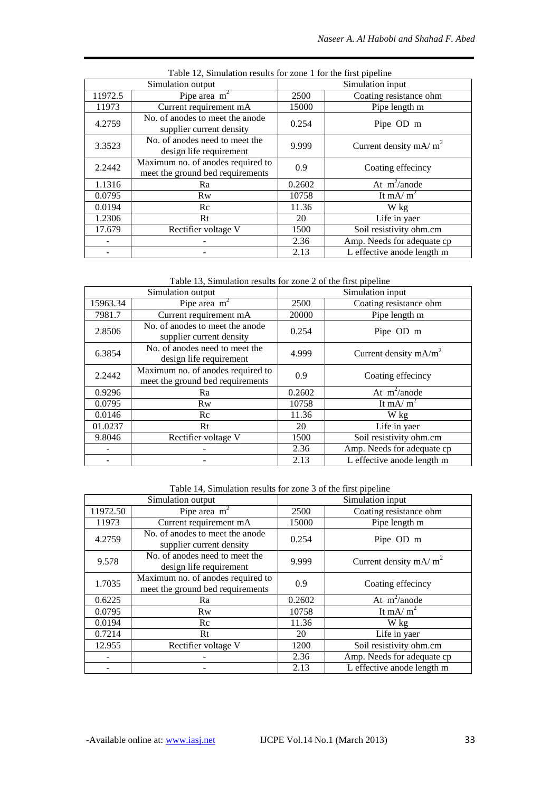| Table 12, Simulation results for zone 1 for the first pipeline |                                                                       |                  |                            |
|----------------------------------------------------------------|-----------------------------------------------------------------------|------------------|----------------------------|
| Simulation output                                              |                                                                       | Simulation input |                            |
| 11972.5                                                        | Pipe area $m2$                                                        | 2500             | Coating resistance ohm     |
| 11973                                                          | Current requirement mA                                                | 15000            | Pipe length m              |
| 4.2759                                                         | No. of anodes to meet the anode<br>supplier current density           | 0.254            | Pipe OD m                  |
| 3.3523                                                         | No. of anodes need to meet the<br>design life requirement             | 9.999            | Current density $mA/m^2$   |
| 2.2442                                                         | Maximum no. of anodes required to<br>meet the ground bed requirements | 0.9              | Coating effecincy          |
| 1.1316                                                         | Ra                                                                    | 0.2602           | At $m^2$ /anode            |
| 0.0795                                                         | <b>Rw</b>                                                             | 10758            | It mA/ $m2$                |
| 0.0194                                                         | Rc                                                                    | 11.36            | W kg                       |
| 1.2306                                                         | Rt                                                                    | 20               | Life in yaer               |
| 17.679                                                         | Rectifier voltage V                                                   | 1500             | Soil resistivity ohm.cm    |
|                                                                |                                                                       | 2.36             | Amp. Needs for adequate cp |
|                                                                |                                                                       | 2.13             | L effective anode length m |

Table 13, Simulation results for zone 2 of the first pipeline

| Simulation output |                                                                       | Simulation input |                            |
|-------------------|-----------------------------------------------------------------------|------------------|----------------------------|
| 15963.34          | Pipe area $m2$                                                        | 2500             | Coating resistance ohm     |
| 7981.7            | Current requirement mA                                                | 20000            | Pipe length m              |
| 2.8506            | No. of anodes to meet the anode<br>supplier current density           | 0.254            | Pipe OD m                  |
| 6.3854            | No. of anodes need to meet the<br>design life requirement             | 4.999            | Current density $mA/m2$    |
| 2.2442            | Maximum no. of anodes required to<br>meet the ground bed requirements | 0.9              | Coating effecincy          |
| 0.9296            | Ra                                                                    | 0.2602           | At $m^2$ /anode            |
| 0.0795            | <b>Rw</b>                                                             | 10758            | It mA/ $m^2$               |
| 0.0146            | Rc                                                                    | 11.36            | W kg                       |
| 01.0237           | Rt                                                                    | 20               | Life in yaer               |
| 9.8046            | Rectifier voltage V                                                   | 1500             | Soil resistivity ohm.cm    |
|                   |                                                                       | 2.36             | Amp. Needs for adequate cp |
|                   |                                                                       | 2.13             | L effective anode length m |

Table 14, Simulation results for zone 3 of the first pipeline

| Simulation output |                                                                       | Simulation input |                            |
|-------------------|-----------------------------------------------------------------------|------------------|----------------------------|
| 11972.50          | Pipe area $m2$                                                        | 2500             | Coating resistance ohm     |
| 11973             | Current requirement mA                                                | 15000            | Pipe length m              |
| 4.2759            | No. of anodes to meet the anode<br>supplier current density           | 0.254            | Pipe OD m                  |
| 9.578             | No. of anodes need to meet the<br>design life requirement             | 9.999            | Current density $mA/m^2$   |
| 1.7035            | Maximum no. of anodes required to<br>meet the ground bed requirements | 0.9              | Coating effecincy          |
| 0.6225            | Ra                                                                    | 0.2602           | At $m^2$ /anode            |
| 0.0795            | <b>Rw</b>                                                             | 10758            | It mA/ $m2$                |
| 0.0194            | Rc                                                                    | 11.36            | W kg                       |
| 0.7214            | Rt                                                                    | 20               | Life in yaer               |
| 12.955            | Rectifier voltage V                                                   | 1200             | Soil resistivity ohm.cm    |
|                   |                                                                       | 2.36             | Amp. Needs for adequate cp |
|                   |                                                                       | 2.13             | L effective anode length m |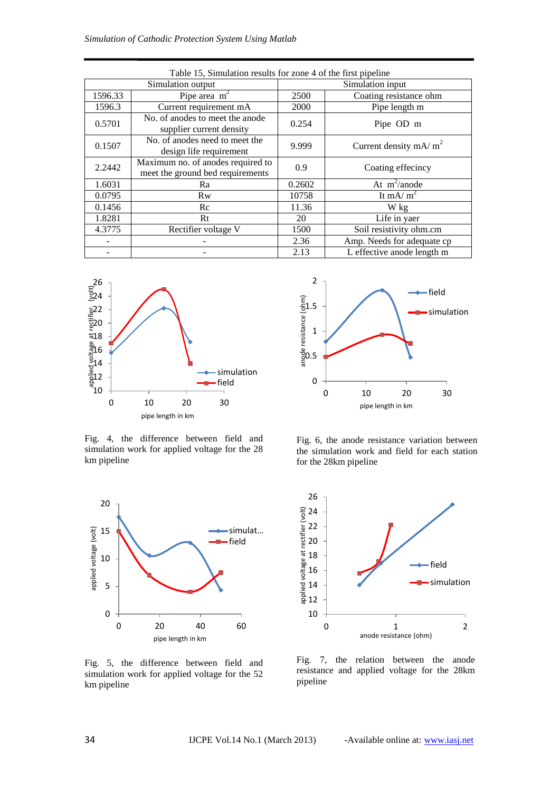| Table 15, Simulation results for zone 4 of the first pipeline |                                                                       |                  |                            |
|---------------------------------------------------------------|-----------------------------------------------------------------------|------------------|----------------------------|
| Simulation output                                             |                                                                       | Simulation input |                            |
| 1596.33                                                       | Pipe area $m2$                                                        | 2500             | Coating resistance ohm     |
| 1596.3                                                        | Current requirement mA                                                | 2000             | Pipe length m              |
| 0.5701                                                        | No. of anodes to meet the anode<br>supplier current density           | 0.254            | Pipe OD m                  |
| 0.1507                                                        | No. of anodes need to meet the<br>design life requirement             | 9.999            | Current density $mA/m2$    |
| 2.2442                                                        | Maximum no. of anodes required to<br>meet the ground bed requirements | 0.9              | Coating effecincy          |
| 1.6031                                                        | Ra                                                                    | 0.2602           | At $m^2$ /anode            |
| 0.0795                                                        | <b>Rw</b>                                                             | 10758            | It mA/ $m2$                |
| 0.1456                                                        | Re                                                                    | 11.36            | W kg                       |
| 1.8281                                                        | Rt                                                                    | 20               | Life in yaer               |
| 4.3775                                                        | Rectifier voltage V                                                   | 1500             | Soil resistivity ohm.cm    |
|                                                               |                                                                       | 2.36             | Amp. Needs for adequate cp |
|                                                               |                                                                       | 2.13             | L effective anode length m |



Fig. 4, the difference between field and simulation work for applied voltage for the 28 km pipeline



Fig. 5, the difference between field and simulation work for applied voltage for the 52 km pipeline



Fig. 6, the anode resistance variation between the simulation work and field for each station for the 28km pipeline



Fig. 7, the relation between the anode resistance and applied voltage for the 28km pipeline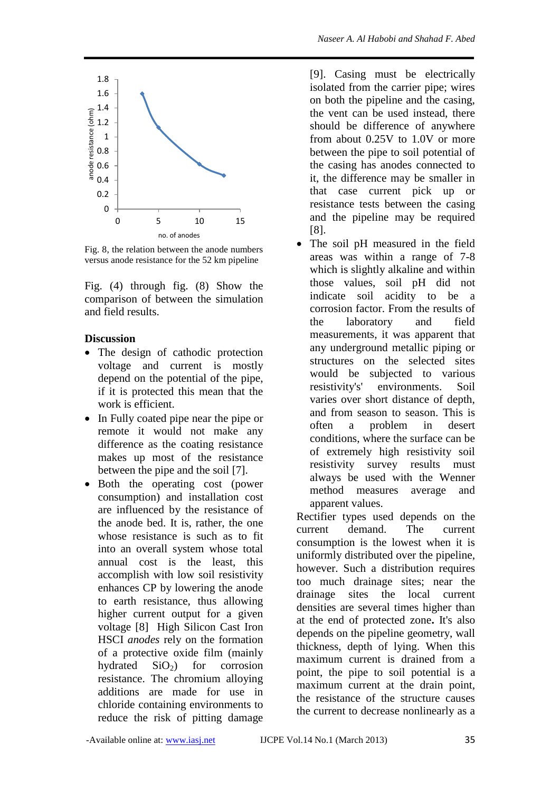

Fig. 8, the relation between the anode numbers versus anode resistance for the 52 km pipeline

Fig. (4) through fig. (8) Show the comparison of between the simulation and field results.

### **Discussion**

- The design of cathodic protection voltage and current is mostly depend on the potential of the pipe, if it is protected this mean that the work is efficient.
- In Fully coated pipe near the pipe or remote it would not make any difference as the coating resistance makes up most of the resistance between the pipe and the soil [7].
- Both the operating cost (power consumption) and installation cost are influenced by the resistance of the anode bed. It is, rather, the one whose resistance is such as to fit into an overall system whose total annual cost is the least, this accomplish with low soil resistivity enhances CP by lowering the anode to earth resistance, thus allowing higher current output for a given voltage [8] High Silicon Cast Iron HSCI *anodes* rely on the formation of a protective oxide film (mainly hydrated  $SiO<sub>2</sub>$  for corrosion resistance. The chromium alloying additions are made for use in chloride containing environments to reduce the risk of pitting damage

[9]. Casing must be electrically isolated from the carrier pipe; wires on both the pipeline and the casing, the vent can be used instead, there should be difference of anywhere from about 0.25V to 1.0V or more between the pipe to soil potential of the casing has anodes connected to it, the difference may be smaller in that case current pick up or resistance tests between the casing and the pipeline may be required [8].

 The soil pH measured in the field areas was within a range of 7-8 which is slightly alkaline and within those values, soil pH did not indicate soil acidity to be a corrosion factor. From the results of the laboratory and field measurements, it was apparent that any underground metallic piping or structures on the selected sites would be subjected to various resistivity's' environments. Soil varies over short distance of depth, and from season to season. This is often a problem in desert conditions, where the surface can be of extremely high resistivity soil resistivity survey results must always be used with the Wenner method measures average and apparent values.

Rectifier types used depends on the current demand. The current consumption is the lowest when it is uniformly distributed over the pipeline, however. Such a distribution requires too much drainage sites; near the drainage sites the local current densities are several times higher than at the end of protected zone**.** It's also depends on the pipeline geometry, wall thickness, depth of lying. When this maximum current is drained from a point, the pipe to soil potential is a maximum current at the drain point, the resistance of the structure causes the current to decrease nonlinearly as a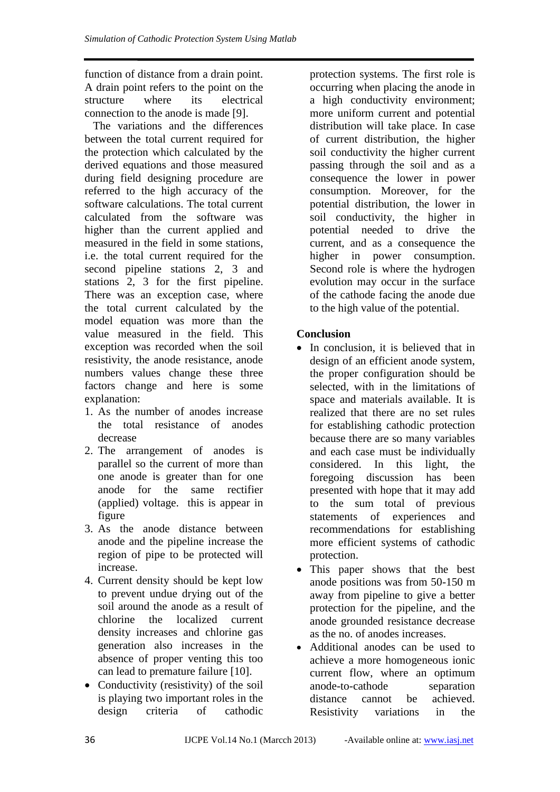function of distance from a drain point. A drain point refers to the point on the structure where its electrical connection to the anode is made [9].

 The variations and the differences between the total current required for the protection which calculated by the derived equations and those measured during field designing procedure are referred to the high accuracy of the software calculations. The total current calculated from the software was higher than the current applied and measured in the field in some stations, i.e. the total current required for the second pipeline stations 2, 3 and stations 2, 3 for the first pipeline. There was an exception case, where the total current calculated by the model equation was more than the value measured in the field. This exception was recorded when the soil resistivity, the anode resistance, anode numbers values change these three factors change and here is some explanation:

- 1. As the number of anodes increase the total resistance of anodes decrease
- 2. The arrangement of anodes is parallel so the current of more than one anode is greater than for one anode for the same rectifier (applied) voltage. this is appear in figure
- 3. As the anode distance between anode and the pipeline increase the region of pipe to be protected will increase.
- 4. Current density should be kept low to prevent undue drying out of the soil around the anode as a result of chlorine the localized current density increases and chlorine gas generation also increases in the absence of proper venting this too can lead to premature failure [10].
- Conductivity (resistivity) of the soil is playing two important roles in the design criteria of cathodic

protection systems. The first role is occurring when placing the anode in a high conductivity environment; more uniform current and potential distribution will take place. In case of current distribution, the higher soil conductivity the higher current passing through the soil and as a consequence the lower in power consumption. Moreover, for the potential distribution, the lower in soil conductivity, the higher in potential needed to drive the current, and as a consequence the higher in power consumption. Second role is where the hydrogen evolution may occur in the surface of the cathode facing the anode due to the high value of the potential.

# **Conclusion**

- In conclusion, it is believed that in design of an efficient anode system, the proper configuration should be selected, with in the limitations of space and materials available. It is realized that there are no set rules for establishing cathodic protection because there are so many variables and each case must be individually considered. In this light, the foregoing discussion has been presented with hope that it may add to the sum total of previous statements of experiences and recommendations for establishing more efficient systems of cathodic protection.
- This paper shows that the best anode positions was from 50-150 m away from pipeline to give a better protection for the pipeline, and the anode grounded resistance decrease as the no. of anodes increases.
- Additional anodes can be used to achieve a more homogeneous ionic current flow, where an optimum anode-to-cathode separation distance cannot be achieved. Resistivity variations in the